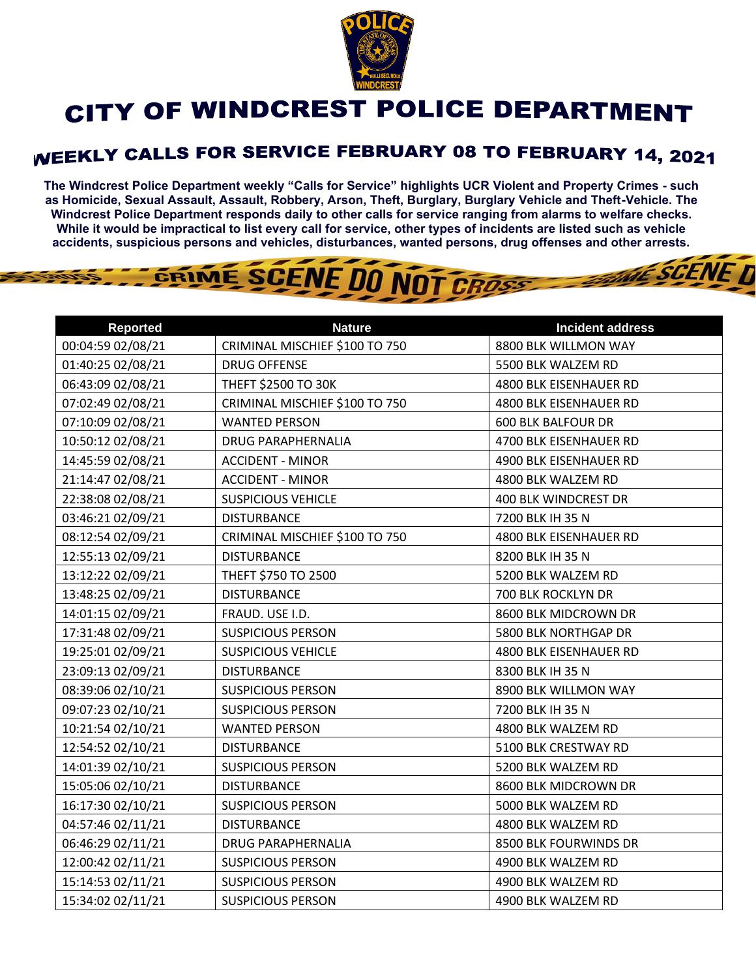

## **CITY OF WINDCREST POLICE DEPARTMENT**

## WEEKLY CALLS FOR SERVICE FEBRUARY 08 TO FEBRUARY 14, 2021

**The Windcrest Police Department weekly "Calls for Service" highlights UCR Violent and Property Crimes - such as Homicide, Sexual Assault, Assault, Robbery, Arson, Theft, Burglary, Burglary Vehicle and Theft-Vehicle. The Windcrest Police Department responds daily to other calls for service ranging from alarms to welfare checks. While it would be impractical to list every call for service, other types of incidents are listed such as vehicle accidents, suspicious persons and vehicles, disturbances, wanted persons, drug offenses and other arrests.** 

**THE SCENE TI** 

GRIME SCENE DO NOT CROSS

| <b>Reported</b>   | <b>Nature</b>                  | <b>Incident address</b>   |
|-------------------|--------------------------------|---------------------------|
| 00:04:59 02/08/21 | CRIMINAL MISCHIEF \$100 TO 750 | 8800 BLK WILLMON WAY      |
| 01:40:25 02/08/21 | <b>DRUG OFFENSE</b>            | 5500 BLK WALZEM RD        |
| 06:43:09 02/08/21 | THEFT \$2500 TO 30K            | 4800 BLK EISENHAUER RD    |
| 07:02:49 02/08/21 | CRIMINAL MISCHIEF \$100 TO 750 | 4800 BLK EISENHAUER RD    |
| 07:10:09 02/08/21 | <b>WANTED PERSON</b>           | <b>600 BLK BALFOUR DR</b> |
| 10:50:12 02/08/21 | <b>DRUG PARAPHERNALIA</b>      | 4700 BLK EISENHAUER RD    |
| 14:45:59 02/08/21 | <b>ACCIDENT - MINOR</b>        | 4900 BLK EISENHAUER RD    |
| 21:14:47 02/08/21 | <b>ACCIDENT - MINOR</b>        | 4800 BLK WALZEM RD        |
| 22:38:08 02/08/21 | <b>SUSPICIOUS VEHICLE</b>      | 400 BLK WINDCREST DR      |
| 03:46:21 02/09/21 | <b>DISTURBANCE</b>             | 7200 BLK IH 35 N          |
| 08:12:54 02/09/21 | CRIMINAL MISCHIEF \$100 TO 750 | 4800 BLK EISENHAUER RD    |
| 12:55:13 02/09/21 | <b>DISTURBANCE</b>             | 8200 BLK IH 35 N          |
| 13:12:22 02/09/21 | THEFT \$750 TO 2500            | 5200 BLK WALZEM RD        |
| 13:48:25 02/09/21 | <b>DISTURBANCE</b>             | 700 BLK ROCKLYN DR        |
| 14:01:15 02/09/21 | FRAUD. USE I.D.                | 8600 BLK MIDCROWN DR      |
| 17:31:48 02/09/21 | <b>SUSPICIOUS PERSON</b>       | 5800 BLK NORTHGAP DR      |
| 19:25:01 02/09/21 | <b>SUSPICIOUS VEHICLE</b>      | 4800 BLK EISENHAUER RD    |
| 23:09:13 02/09/21 | <b>DISTURBANCE</b>             | 8300 BLK IH 35 N          |
| 08:39:06 02/10/21 | <b>SUSPICIOUS PERSON</b>       | 8900 BLK WILLMON WAY      |
| 09:07:23 02/10/21 | <b>SUSPICIOUS PERSON</b>       | 7200 BLK IH 35 N          |
| 10:21:54 02/10/21 | <b>WANTED PERSON</b>           | 4800 BLK WALZEM RD        |
| 12:54:52 02/10/21 | <b>DISTURBANCE</b>             | 5100 BLK CRESTWAY RD      |
| 14:01:39 02/10/21 | <b>SUSPICIOUS PERSON</b>       | 5200 BLK WALZEM RD        |
| 15:05:06 02/10/21 | <b>DISTURBANCE</b>             | 8600 BLK MIDCROWN DR      |
| 16:17:30 02/10/21 | <b>SUSPICIOUS PERSON</b>       | 5000 BLK WALZEM RD        |
| 04:57:46 02/11/21 | <b>DISTURBANCE</b>             | 4800 BLK WALZEM RD        |
| 06:46:29 02/11/21 | DRUG PARAPHERNALIA             | 8500 BLK FOURWINDS DR     |
| 12:00:42 02/11/21 | <b>SUSPICIOUS PERSON</b>       | 4900 BLK WALZEM RD        |
| 15:14:53 02/11/21 | <b>SUSPICIOUS PERSON</b>       | 4900 BLK WALZEM RD        |
| 15:34:02 02/11/21 | <b>SUSPICIOUS PERSON</b>       | 4900 BLK WALZEM RD        |